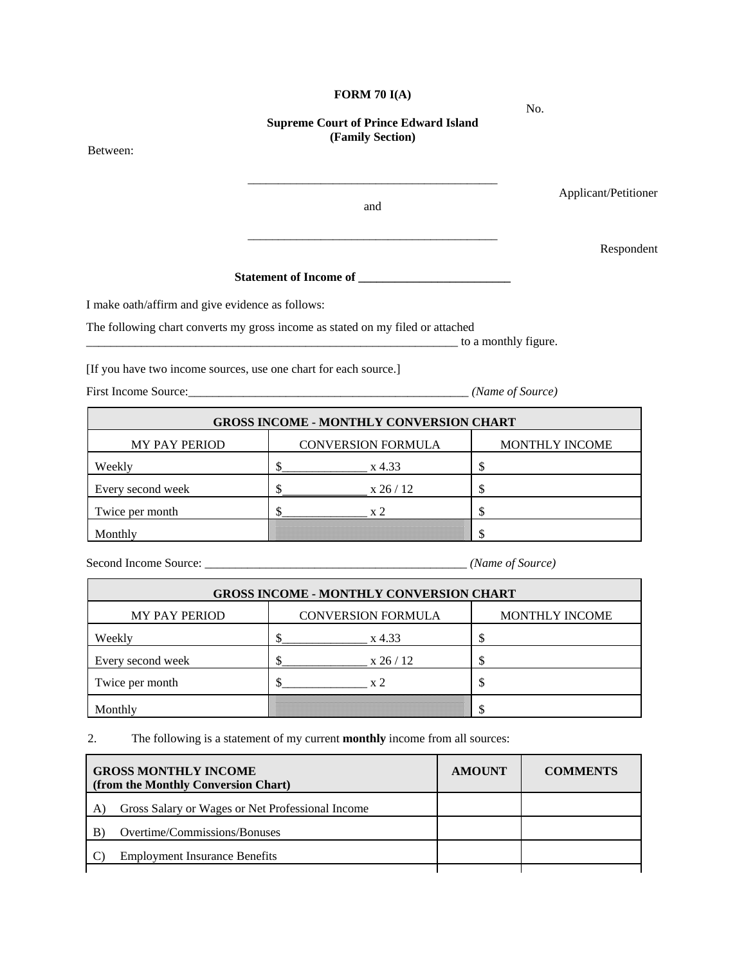#### **FORM 70 I(A)**

#### **Supreme Court of Prince Edward Island (Family Section)**

Between:

\_\_\_\_\_\_\_\_\_\_\_\_\_\_\_\_\_\_\_\_\_\_\_\_\_\_\_\_\_\_\_\_\_\_\_\_\_\_\_\_\_ Applicant/Petitioner and \_\_\_\_\_\_\_\_\_\_\_\_\_\_\_\_\_\_\_\_\_\_\_\_\_\_\_\_\_\_\_\_\_\_\_\_\_\_\_\_\_

Respondent

# **Statement of Income of \_\_\_\_\_\_\_\_\_\_\_\_\_\_\_\_\_\_\_\_\_\_\_\_\_**

I make oath/affirm and give evidence as follows:

The following chart converts my gross income as stated on my filed or attached \_\_\_\_\_\_\_\_\_\_\_\_\_\_\_\_\_\_\_\_\_\_\_\_\_\_\_\_\_\_\_\_\_\_\_\_\_\_\_\_\_\_\_\_\_\_\_\_\_\_\_\_\_\_\_\_\_\_\_\_\_ to a monthly figure.

[If you have two income sources, use one chart for each source.]

First Income Source:\_\_\_\_\_\_\_\_\_\_\_\_\_\_\_\_\_\_\_\_\_\_\_\_\_\_\_\_\_\_\_\_\_\_\_\_\_\_\_\_\_\_\_\_\_\_ *(Name of Source)* 

**GROSS INCOME - MONTHLY CONVERSION CHART**  MY PAY PERIOD CONVERSION FORMULA MONTHLY INCOME Weekly  $\frac{\S_1}{\S_2}$  x 4.33  $\frac{\S_2}{\S_3}$ Every second week  $\begin{array}{c|c}\n\text{S}\n\end{array}$  x 26 / 12  $\begin{array}{c|c}\n\text{S}\n\end{array}$ Twice per month  $\frac{1}{2}$   $\frac{1}{2}$   $\frac{1}{2}$   $\frac{1}{2}$   $\frac{1}{2}$   $\frac{1}{2}$   $\frac{1}{2}$ Monthly  $\mathcal{S}$ 

Second Income Source: \_\_\_\_\_\_\_\_\_\_\_\_\_\_\_\_\_\_\_\_\_\_\_\_\_\_\_\_\_\_\_\_\_\_\_\_\_\_\_\_\_\_\_ *(Name of Source)* 

| <b>GROSS INCOME - MONTHLY CONVERSION CHART</b> |                           |                       |  |  |  |
|------------------------------------------------|---------------------------|-----------------------|--|--|--|
| <b>MY PAY PERIOD</b>                           | <b>CONVERSION FORMULA</b> | <b>MONTHLY INCOME</b> |  |  |  |
| Weekly                                         | x 4.33                    |                       |  |  |  |
| Every second week                              | x 26/12                   |                       |  |  |  |
| Twice per month                                | $\mathbf{v}$ '            |                       |  |  |  |
| Monthly                                        |                           |                       |  |  |  |

2. The following is a statement of my current **monthly** income from all sources:

| <b>GROSS MONTHLY INCOME</b><br>(from the Monthly Conversion Chart) |                                                  | <b>AMOUNT</b> | <b>COMMENTS</b> |
|--------------------------------------------------------------------|--------------------------------------------------|---------------|-----------------|
|                                                                    | Gross Salary or Wages or Net Professional Income |               |                 |
| B                                                                  | Overtime/Commissions/Bonuses                     |               |                 |
|                                                                    | <b>Employment Insurance Benefits</b>             |               |                 |
|                                                                    |                                                  |               |                 |

No.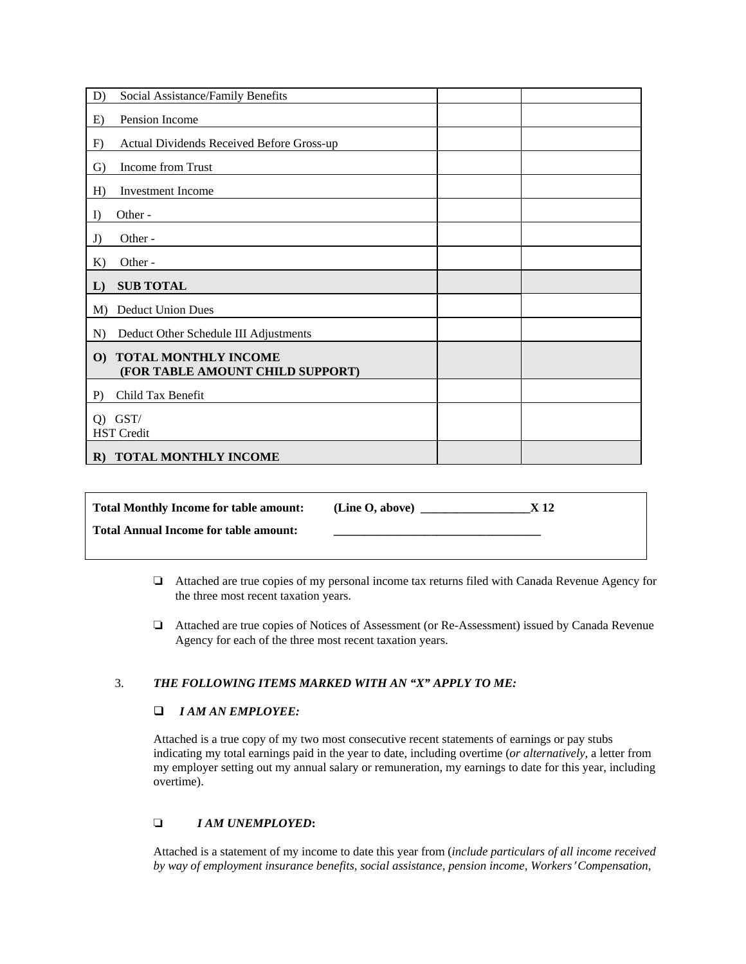| D)           | Social Assistance/Family Benefits                               |  |
|--------------|-----------------------------------------------------------------|--|
| E)           | Pension Income                                                  |  |
| F)           | Actual Dividends Received Before Gross-up                       |  |
| G)           | Income from Trust                                               |  |
| H)           | <b>Investment</b> Income                                        |  |
| I)           | Other-                                                          |  |
| J)           | Other-                                                          |  |
| K            | Other -                                                         |  |
|              |                                                                 |  |
| L)           | <b>SUB TOTAL</b>                                                |  |
| M)           | <b>Deduct Union Dues</b>                                        |  |
| N)           | Deduct Other Schedule III Adjustments                           |  |
| $\mathbf{O}$ | <b>TOTAL MONTHLY INCOME</b><br>(FOR TABLE AMOUNT CHILD SUPPORT) |  |
| $P$ )        | Child Tax Benefit                                               |  |
| $Q$ )        | GST/<br><b>HST</b> Credit                                       |  |

| <b>Total Monthly Income for table amount:</b> | (Line O, above) | X 12 |
|-----------------------------------------------|-----------------|------|
| <b>Total Annual Income for table amount:</b>  |                 |      |
|                                               |                 |      |

- ' Attached are true copies of my personal income tax returns filed with Canada Revenue Agency for the three most recent taxation years.
- ' Attached are true copies of Notices of Assessment (or Re-Assessment) issued by Canada Revenue Agency for each of the three most recent taxation years.

### 3. *THE FOLLOWING ITEMS MARKED WITH AN "X" APPLY TO ME:*

#### *I AM AN EMPLOYEE:*

Attached is a true copy of my two most consecutive recent statements of earnings or pay stubs indicating my total earnings paid in the year to date, including overtime (*or alternatively,* a letter from my employer setting out my annual salary or remuneration, my earnings to date for this year, including overtime).

## ' *I AM UNEMPLOYED***:**

Attached is a statement of my income to date this year from (*include particulars of all income received by way of employment insurance benefits, social assistance, pension income, Workers*  $'$  Compensation,